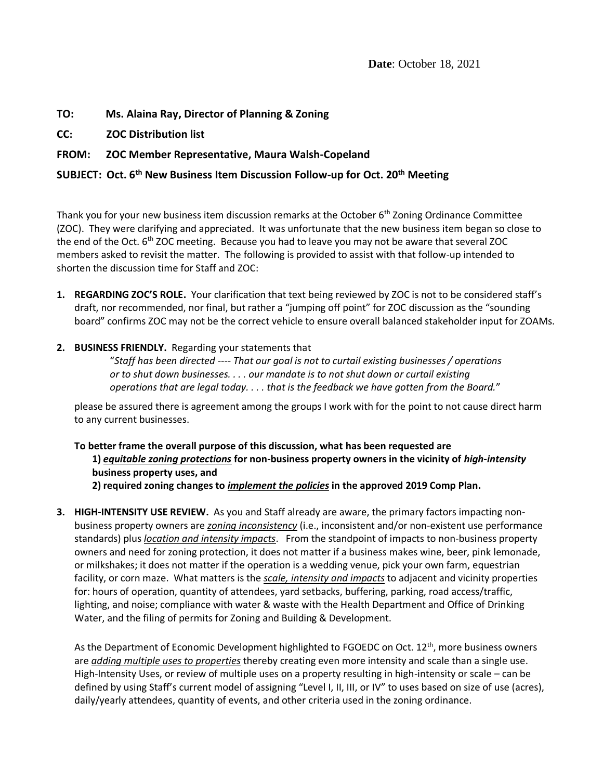# **TO: Ms. Alaina Ray, Director of Planning & Zoning**

**CC: ZOC Distribution list**

## **FROM: ZOC Member Representative, Maura Walsh-Copeland**

#### **SUBJECT: Oct. 6th New Business Item Discussion Follow-up for Oct. 20th Meeting**

Thank you for your new business item discussion remarks at the October 6<sup>th</sup> Zoning Ordinance Committee (ZOC). They were clarifying and appreciated. It was unfortunate that the new business item began so close to the end of the Oct. 6<sup>th</sup> ZOC meeting. Because you had to leave you may not be aware that several ZOC members asked to revisit the matter. The following is provided to assist with that follow-up intended to shorten the discussion time for Staff and ZOC:

**1. REGARDING ZOC'S ROLE.** Your clarification that text being reviewed by ZOC is not to be considered staff's draft, nor recommended, nor final, but rather a "jumping off point" for ZOC discussion as the "sounding board" confirms ZOC may not be the correct vehicle to ensure overall balanced stakeholder input for ZOAMs.

#### **2. BUSINESS FRIENDLY.** Regarding your statements that

"*Staff has been directed ---- That our goal is not to curtail existing businesses / operations or to shut down businesses. . . . our mandate is to not shut down or curtail existing operations that are legal today. . . . that is the feedback we have gotten from the Board.*"

please be assured there is agreement among the groups I work with for the point to not cause direct harm to any current businesses.

#### **To better frame the overall purpose of this discussion, what has been requested are 1)** *equitable zoning protections* **for non-business property owners in the vicinity of** *high-intensity* **business property uses, and 2) required zoning changes to** *implement the policies* **in the approved 2019 Comp Plan.**

**3. HIGH-INTENSITY USE REVIEW.** As you and Staff already are aware, the primary factors impacting nonbusiness property owners are *zoning inconsistency* (i.e., inconsistent and/or non-existent use performance standards) plus *location and intensity impacts*. From the standpoint of impacts to non-business property owners and need for zoning protection, it does not matter if a business makes wine, beer, pink lemonade, or milkshakes; it does not matter if the operation is a wedding venue, pick your own farm, equestrian facility, or corn maze. What matters is the *scale, intensity and impacts* to adjacent and vicinity properties for: hours of operation, quantity of attendees, yard setbacks, buffering, parking, road access/traffic, lighting, and noise; compliance with water & waste with the Health Department and Office of Drinking Water, and the filing of permits for Zoning and Building & Development.

As the Department of Economic Development highlighted to FGOEDC on Oct. 12<sup>th</sup>, more business owners are *adding multiple uses to properties* thereby creating even more intensity and scale than a single use. High-Intensity Uses, or review of multiple uses on a property resulting in high-intensity or scale – can be defined by using Staff's current model of assigning "Level I, II, III, or IV" to uses based on size of use (acres), daily/yearly attendees, quantity of events, and other criteria used in the zoning ordinance.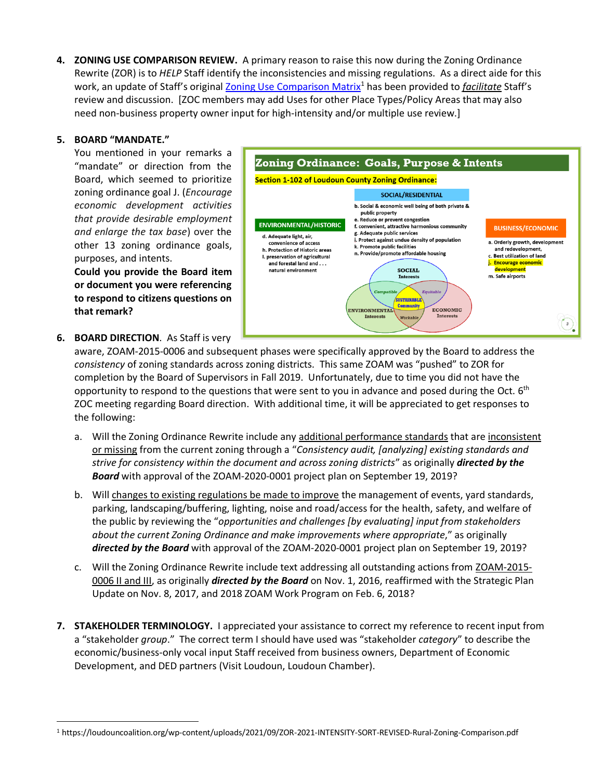**4. ZONING USE COMPARISON REVIEW.** A primary reason to raise this now during the Zoning Ordinance Rewrite (ZOR) is to *HELP* Staff identify the inconsistencies and missing regulations. As a direct aide for this work, an update of Staff's original **[Zoning Use Comparison Matrix](https://loudouncoalition.org/wp-content/uploads/2021/09/ZOR-2021-INTENSITY-SORT-REVISED-Rural-Zoning-Comparison.pdf)<sup>1</sup> has been provided to** *facilitate* **Staff's** review and discussion. [ZOC members may add Uses for other Place Types/Policy Areas that may also need non-business property owner input for high-intensity and/or multiple use review.]

#### **5. BOARD "MANDATE."**

You mentioned in your remarks a "mandate" or direction from the Board, which seemed to prioritize zoning ordinance goal J. (*Encourage economic development activities that provide desirable employment and enlarge the tax base*) over the other 13 zoning ordinance goals, purposes, and intents.

**Could you provide the Board item or document you were referencing to respond to citizens questions on that remark?**

**6. BOARD DIRECTION**. As Staff is very



aware, ZOAM-2015-0006 and subsequent phases were specifically approved by the Board to address the *consistency* of zoning standards across zoning districts. This same ZOAM was "pushed" to ZOR for completion by the Board of Supervisors in Fall 2019. Unfortunately, due to time you did not have the opportunity to respond to the questions that were sent to you in advance and posed during the Oct.  $6<sup>th</sup>$ ZOC meeting regarding Board direction. With additional time, it will be appreciated to get responses to the following:

- a. Will the Zoning Ordinance Rewrite include any additional performance standards that are inconsistent or missing from the current zoning through a "*Consistency audit, [analyzing] existing standards and strive for consistency within the document and across zoning districts*" as originally *directed by the Board* with approval of the ZOAM-2020-0001 project plan on September 19, 2019?
- b. Will changes to existing regulations be made to improve the management of events, yard standards, parking, landscaping/buffering, lighting, noise and road/access for the health, safety, and welfare of the public by reviewing the "*opportunities and challenges [by evaluating] input from stakeholders about the current Zoning Ordinance and make improvements where appropriate*," as originally *directed by the Board* with approval of the ZOAM-2020-0001 project plan on September 19, 2019?
- c. Will the Zoning Ordinance Rewrite include text addressing all outstanding actions from ZOAM-2015- 0006 II and III, as originally *directed by the Board* on Nov. 1, 2016, reaffirmed with the Strategic Plan Update on Nov. 8, 2017, and 2018 ZOAM Work Program on Feb. 6, 2018?
- **7. STAKEHOLDER TERMINOLOGY.** I appreciated your assistance to correct my reference to recent input from a "stakeholder *group*." The correct term I should have used was "stakeholder *category*" to describe the economic/business-only vocal input Staff received from business owners, Department of Economic Development, and DED partners (Visit Loudoun, Loudoun Chamber).

<sup>1</sup> https://loudouncoalition.org/wp-content/uploads/2021/09/ZOR-2021-INTENSITY-SORT-REVISED-Rural-Zoning-Comparison.pdf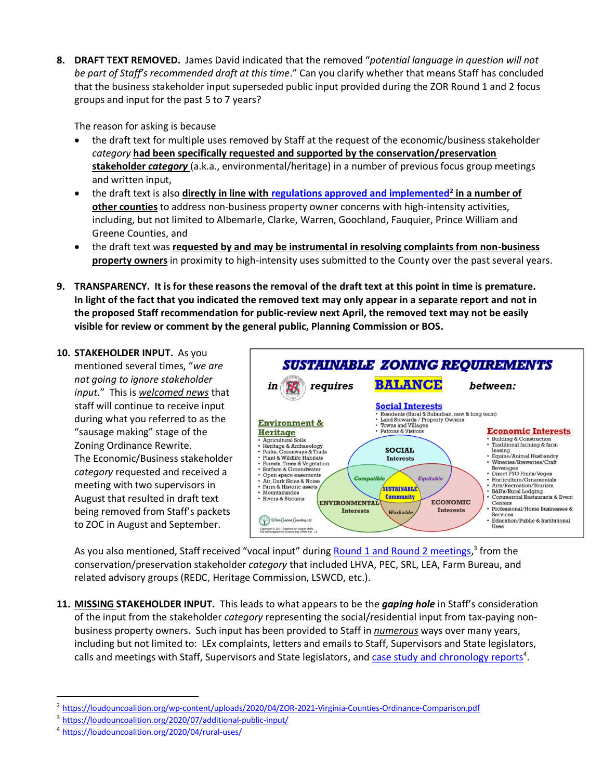**8. DRAFT TEXT REMOVED.** James David indicated that the removed "*potential language in question will not be part of Staff's recommended draft at this time*." Can you clarify whether that means Staff has concluded that the business stakeholder input superseded public input provided during the ZOR Round 1 and 2 focus groups and input for the past 5 to 7 years?

The reason for asking is because

- the draft text for multiple uses removed by Staff at the request of the economic/business stakeholder *category* **had been specifically requested and supported by the conservation/preservation stakeholder** *category* (a.k.a., environmental/heritage) in a number of previous focus group meetings and written input,
- the draft text is also **directly in line with [regulations approved and implemented](https://loudouncoalition.org/wp-content/uploads/2020/04/ZOR-2021-Virginia-Counties-Ordinance-Comparison.pdf)<sup>2</sup> in a number of other counties** to address non-business property owner concerns with high-intensity activities, including, but not limited to Albemarle, Clarke, Warren, Goochland, Fauquier, Prince William and Greene Counties, and
- the draft text was **requested by and may be instrumental in resolving complaints from non-business property owners** in proximity to high-intensity uses submitted to the County over the past several years.
- **9. TRANSPARENCY. It is for these reasons the removal of the draft text at this point in time is premature. In light of the fact that you indicated the removed text may only appear in a separate report and not in the proposed Staff recommendation for public-review next April, the removed text may not be easily visible for review or comment by the general public, Planning Commission or BOS.**
- **10. STAKEHOLDER INPUT.** As you mentioned several times, "*we are not going to ignore stakeholder input*." This is *welcomed news* that staff will continue to receive input during what you referred to as the "sausage making" stage of the Zoning Ordinance Rewrite. The Economic/Business stakeholder *category* requested and received a meeting with two supervisors in August that resulted in draft text being removed from Staff's packets to ZOC in August and September.



As you also mentioned, Staff received "vocal input" during **Round 1 and Round 2 meetings,<sup>3</sup> from the** conservation/preservation stakeholder *category* that included LHVA, PEC, SRL, LEA, Farm Bureau, and related advisory groups (REDC, Heritage Commission, LSWCD, etc.).

**11. MISSING STAKEHOLDER INPUT.** This leads to what appears to be the *gaping hole* in Staff's consideration of the input from the stakeholder *category* representing the social/residential input from tax-paying nonbusiness property owners. Such input has been provided to Staff in *numerous* ways over many years, including but not limited to: LEx complaints, letters and emails to Staff, Supervisors and State legislators, calls and meetings with Staff, Supervisors and State legislators, an[d case study and chronology reports](https://loudouncoalition.org/2020/04/rural-uses/)<sup>4</sup>.

<sup>&</sup>lt;sup>2</sup> https://loudouncoalition.org/wp-content/uploads/2020/04/ZOR-2021-Virginia-Counties-Ordinance-Comparison.pdf

<sup>&</sup>lt;sup>3</sup> https://loudouncoalition.org/2020/07/additional-public-input/

<sup>4</sup> https://loudouncoalition.org/2020/04/rural-uses/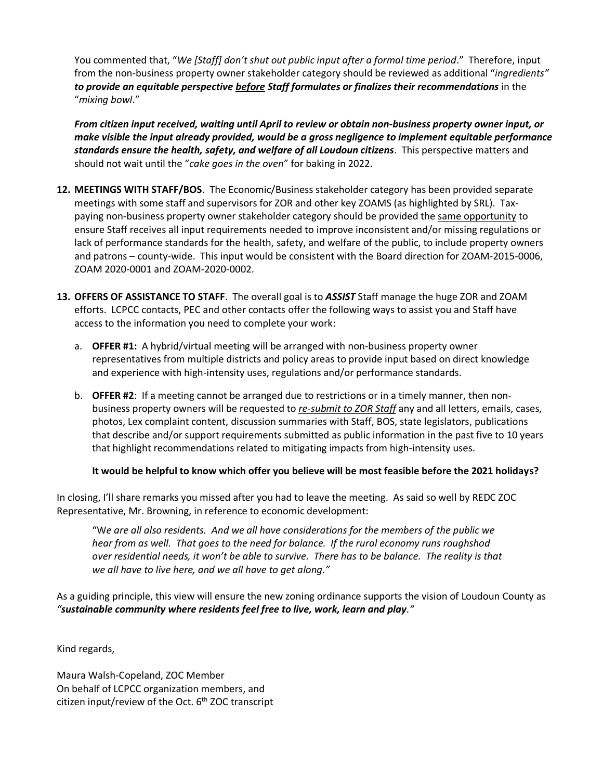You commented that, "*We [Staff] don't shut out public input after a formal time period*." Therefore, input from the non-business property owner stakeholder category should be reviewed as additional "*ingredients" to provide an equitable perspective before Staff formulates or finalizes their recommendations* in the "*mixing bowl*."

*From citizen input received, waiting until April to review or obtain non-business property owner input, or make visible the input already provided, would be a gross negligence to implement equitable performance standards ensure the health, safety, and welfare of all Loudoun citizens*. This perspective matters and should not wait until the "*cake goes in the oven*" for baking in 2022.

- **12. MEETINGS WITH STAFF/BOS**. The Economic/Business stakeholder category has been provided separate meetings with some staff and supervisors for ZOR and other key ZOAMS (as highlighted by SRL). Taxpaying non-business property owner stakeholder category should be provided the same opportunity to ensure Staff receives all input requirements needed to improve inconsistent and/or missing regulations or lack of performance standards for the health, safety, and welfare of the public, to include property owners and patrons – county-wide. This input would be consistent with the Board direction for ZOAM-2015-0006, ZOAM 2020-0001 and ZOAM-2020-0002.
- **13. OFFERS OF ASSISTANCE TO STAFF**. The overall goal is to *ASSIST* Staff manage the huge ZOR and ZOAM efforts. LCPCC contacts, PEC and other contacts offer the following ways to assist you and Staff have access to the information you need to complete your work:
	- a. **OFFER #1:** A hybrid/virtual meeting will be arranged with non-business property owner representatives from multiple districts and policy areas to provide input based on direct knowledge and experience with high-intensity uses, regulations and/or performance standards.
	- b. **OFFER #2**: If a meeting cannot be arranged due to restrictions or in a timely manner, then nonbusiness property owners will be requested to *re-submit to ZOR Staff* any and all letters, emails, cases, photos, Lex complaint content, discussion summaries with Staff, BOS, state legislators, publications that describe and/or support requirements submitted as public information in the past five to 10 years that highlight recommendations related to mitigating impacts from high-intensity uses.

## **It would be helpful to know which offer you believe will be most feasible before the 2021 holidays?**

In closing, I'll share remarks you missed after you had to leave the meeting. As said so well by REDC ZOC Representative, Mr. Browning, in reference to economic development:

"W*e are all also residents. And we all have considerations for the members of the public we hear from as well. That goes to the need for balance. If the rural economy runs roughshod over residential needs, it won't be able to survive. There has to be balance. The reality is that we all have to live here, and we all have to get along."*

As a guiding principle, this view will ensure the new zoning ordinance supports the vision of Loudoun County as *"sustainable community where residents feel free to live, work, learn and play."*

Kind regards,

Maura Walsh-Copeland, ZOC Member On behalf of LCPCC organization members, and citizen input/review of the Oct.  $6<sup>th</sup>$  ZOC transcript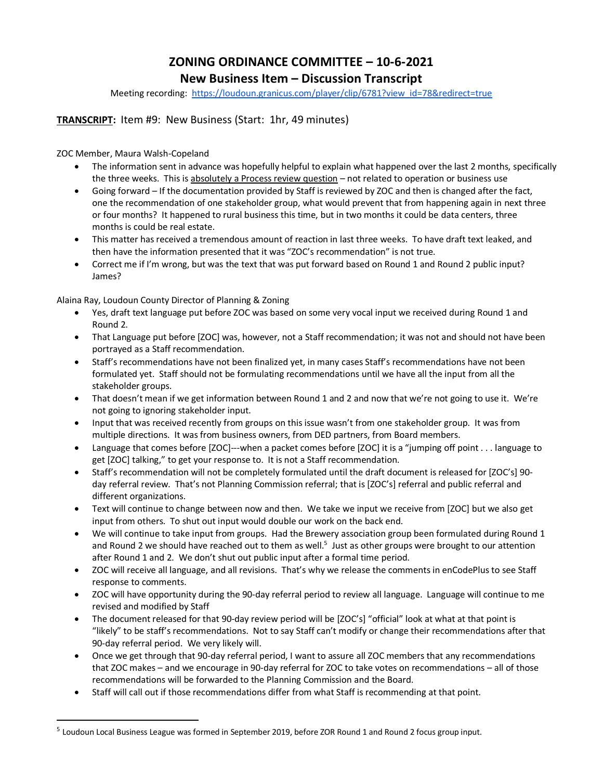# **ZONING ORDINANCE COMMITTEE – 10-6-2021**

# **New Business Item – Discussion Transcript**

Meeting recording: [https://loudoun.granicus.com/player/clip/6781?view\\_id=78&redirect=true](https://loudoun.granicus.com/player/clip/6781?view_id=78&redirect=true)

#### **TRANSCRIPT:** Item #9: New Business (Start: 1hr, 49 minutes)

ZOC Member, Maura Walsh-Copeland

- The information sent in advance was hopefully helpful to explain what happened over the last 2 months, specifically the three weeks. This is absolutely a Process review question - not related to operation or business use
- Going forward If the documentation provided by Staff is reviewed by ZOC and then is changed after the fact, one the recommendation of one stakeholder group, what would prevent that from happening again in next three or four months? It happened to rural business this time, but in two months it could be data centers, three months is could be real estate.
- This matter has received a tremendous amount of reaction in last three weeks. To have draft text leaked, and then have the information presented that it was "ZOC's recommendation" is not true.
- Correct me if I'm wrong, but was the text that was put forward based on Round 1 and Round 2 public input? James?

Alaina Ray, Loudoun County Director of Planning & Zoning

- Yes, draft text language put before ZOC was based on some very vocal input we received during Round 1 and Round 2.
- That Language put before [ZOC] was, however, not a Staff recommendation; it was not and should not have been portrayed as a Staff recommendation.
- Staff's recommendations have not been finalized yet, in many cases Staff's recommendations have not been formulated yet. Staff should not be formulating recommendations until we have all the input from all the stakeholder groups.
- That doesn't mean if we get information between Round 1 and 2 and now that we're not going to use it. We're not going to ignoring stakeholder input.
- Input that was received recently from groups on this issue wasn't from one stakeholder group. It was from multiple directions. It was from business owners, from DED partners, from Board members.
- Language that comes before [ZOC]---when a packet comes before [ZOC] it is a "jumping off point . . . language to get [ZOC] talking," to get your response to. It is not a Staff recommendation.
- Staff's recommendation will not be completely formulated until the draft document is released for [ZOC's] 90 day referral review. That's not Planning Commission referral; that is [ZOC's] referral and public referral and different organizations.
- Text will continue to change between now and then. We take we input we receive from [ZOC] but we also get input from others. To shut out input would double our work on the back end.
- We will continue to take input from groups. Had the Brewery association group been formulated during Round 1 and Round 2 we should have reached out to them as well.<sup>5</sup> Just as other groups were brought to our attention after Round 1 and 2. We don't shut out public input after a formal time period.
- ZOC will receive all language, and all revisions. That's why we release the comments in enCodePlus to see Staff response to comments.
- ZOC will have opportunity during the 90-day referral period to review all language. Language will continue to me revised and modified by Staff
- The document released for that 90-day review period will be [ZOC's] "official" look at what at that point is "likely" to be staff's recommendations. Not to say Staff can't modify or change their recommendations after that 90-day referral period. We very likely will.
- Once we get through that 90-day referral period, I want to assure all ZOC members that any recommendations that ZOC makes – and we encourage in 90-day referral for ZOC to take votes on recommendations – all of those recommendations will be forwarded to the Planning Commission and the Board.
- Staff will call out if those recommendations differ from what Staff is recommending at that point.

<sup>&</sup>lt;sup>5</sup> Loudoun Local Business League was formed in September 2019, before ZOR Round 1 and Round 2 focus group input.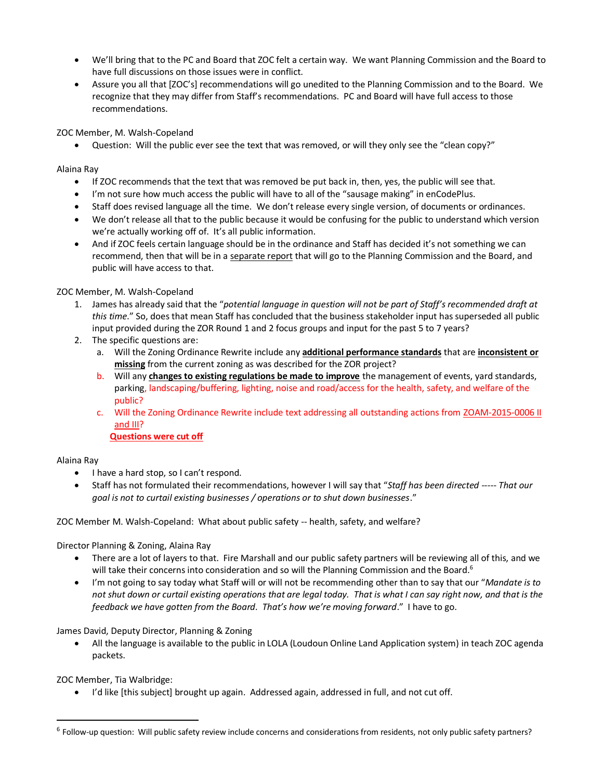- We'll bring that to the PC and Board that ZOC felt a certain way. We want Planning Commission and the Board to have full discussions on those issues were in conflict.
- Assure you all that [ZOC's] recommendations will go unedited to the Planning Commission and to the Board. We recognize that they may differ from Staff's recommendations. PC and Board will have full access to those recommendations.

ZOC Member, M. Walsh-Copeland

• Question: Will the public ever see the text that was removed, or will they only see the "clean copy?"

Alaina Ray

- If ZOC recommends that the text that was removed be put back in, then, yes, the public will see that.
- I'm not sure how much access the public will have to all of the "sausage making" in enCodePlus.
- Staff does revised language all the time. We don't release every single version, of documents or ordinances.
- We don't release all that to the public because it would be confusing for the public to understand which version we're actually working off of. It's all public information.
- And if ZOC feels certain language should be in the ordinance and Staff has decided it's not something we can recommend, then that will be in a separate report that will go to the Planning Commission and the Board, and public will have access to that.

ZOC Member, M. Walsh-Copeland

- 1. James has already said that the "*potential language in question will not be part of Staff's recommended draft at this time*." So, does that mean Staff has concluded that the business stakeholder input has superseded all public input provided during the ZOR Round 1 and 2 focus groups and input for the past 5 to 7 years?
- 2. The specific questions are:
	- a. Will the Zoning Ordinance Rewrite include any **additional performance standards** that are **inconsistent or missing** from the current zoning as was described for the ZOR project?
	- b. Will any **changes to existing regulations be made to improve** the management of events, yard standards, parking, landscaping/buffering, lighting, noise and road/access for the health, safety, and welfare of the public?
	- c. Will the Zoning Ordinance Rewrite include text addressing all outstanding actions from ZOAM-2015-0006 II and III?

**Questions were cut off**

#### Alaina Ray

- I have a hard stop, so I can't respond.
- Staff has not formulated their recommendations, however I will say that "*Staff has been directed ----- That our goal is not to curtail existing businesses / operations or to shut down businesses*."

ZOC Member M. Walsh-Copeland: What about public safety -- health, safety, and welfare?

Director Planning & Zoning, Alaina Ray

- There are a lot of layers to that. Fire Marshall and our public safety partners will be reviewing all of this, and we will take their concerns into consideration and so will the Planning Commission and the Board.<sup>6</sup>
- I'm not going to say today what Staff will or will not be recommending other than to say that our "*Mandate is to not shut down or curtail existing operations that are legal today. That is what I can say right now, and that is the feedback we have gotten from the Board. That's how we're moving forward*." I have to go.

James David, Deputy Director, Planning & Zoning

• All the language is available to the public in LOLA (Loudoun Online Land Application system) in teach ZOC agenda packets.

ZOC Member, Tia Walbridge:

• I'd like [this subject] brought up again. Addressed again, addressed in full, and not cut off.

<sup>&</sup>lt;sup>6</sup> Follow-up question: Will public safety review include concerns and considerations from residents, not only public safety partners?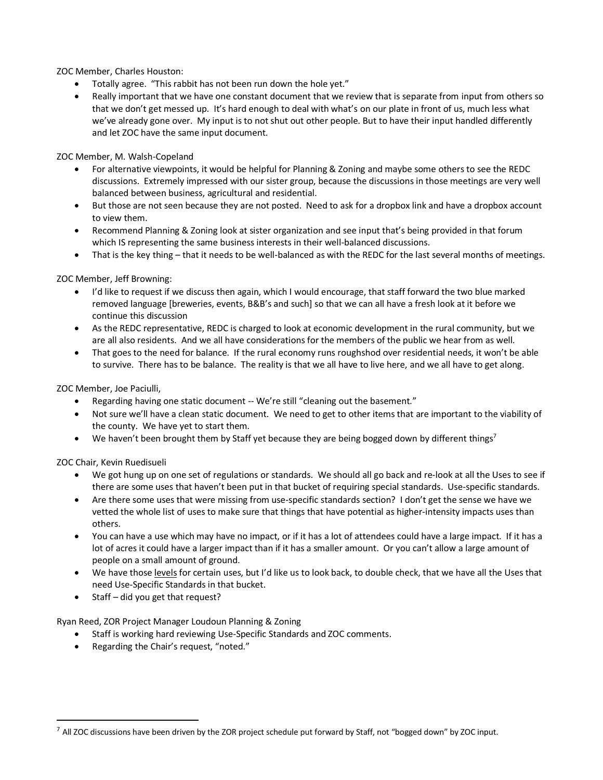ZOC Member, Charles Houston:

- Totally agree. "This rabbit has not been run down the hole yet."
- Really important that we have one constant document that we review that is separate from input from others so that we don't get messed up. It's hard enough to deal with what's on our plate in front of us, much less what we've already gone over. My input is to not shut out other people. But to have their input handled differently and let ZOC have the same input document.

ZOC Member, M. Walsh-Copeland

- For alternative viewpoints, it would be helpful for Planning & Zoning and maybe some others to see the REDC discussions. Extremely impressed with our sister group, because the discussions in those meetings are very well balanced between business, agricultural and residential.
- But those are not seen because they are not posted. Need to ask for a dropbox link and have a dropbox account to view them.
- Recommend Planning & Zoning look at sister organization and see input that's being provided in that forum which IS representing the same business interests in their well-balanced discussions.
- That is the key thing that it needs to be well-balanced as with the REDC for the last several months of meetings.

ZOC Member, Jeff Browning:

- I'd like to request if we discuss then again, which I would encourage, that staff forward the two blue marked removed language [breweries, events, B&B's and such] so that we can all have a fresh look at it before we continue this discussion
- As the REDC representative, REDC is charged to look at economic development in the rural community, but we are all also residents. And we all have considerations for the members of the public we hear from as well.
- That goes to the need for balance. If the rural economy runs roughshod over residential needs, it won't be able to survive. There has to be balance. The reality is that we all have to live here, and we all have to get along.

ZOC Member, Joe Paciulli,

- Regarding having one static document -- We're still "cleaning out the basement."
- Not sure we'll have a clean static document. We need to get to other items that are important to the viability of the county. We have yet to start them.
- We haven't been brought them by Staff yet because they are being bogged down by different things<sup>7</sup>

ZOC Chair, Kevin Ruedisueli

- We got hung up on one set of regulations or standards. We should all go back and re-look at all the Uses to see if there are some uses that haven't been put in that bucket of requiring special standards. Use-specific standards.
- Are there some uses that were missing from use-specific standards section? I don't get the sense we have we vetted the whole list of uses to make sure that things that have potential as higher-intensity impacts uses than others.
- You can have a use which may have no impact, or if it has a lot of attendees could have a large impact. If it has a lot of acres it could have a larger impact than if it has a smaller amount. Or you can't allow a large amount of people on a small amount of ground.
- We have those levels for certain uses, but I'd like us to look back, to double check, that we have all the Uses that need Use-Specific Standards in that bucket.
- Staff did you get that request?

Ryan Reed, ZOR Project Manager Loudoun Planning & Zoning

- Staff is working hard reviewing Use-Specific Standards and ZOC comments.
- Regarding the Chair's request, "noted."

<sup>&</sup>lt;sup>7</sup> All ZOC discussions have been driven by the ZOR project schedule put forward by Staff, not "bogged down" by ZOC input.